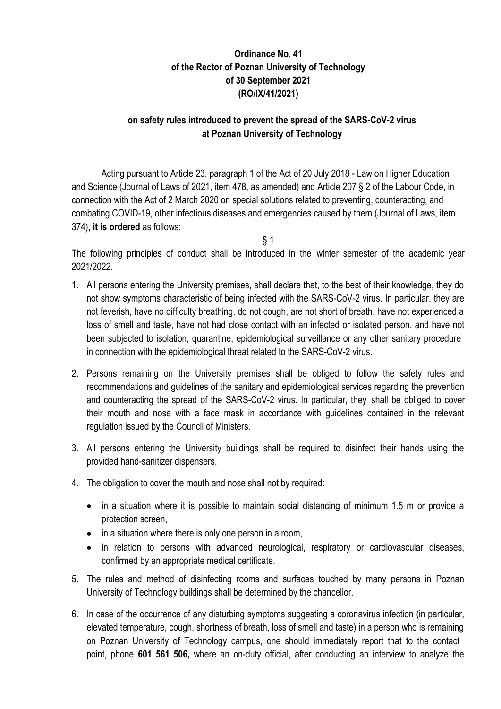## **Ordinance No. 41 of the Rector of Poznan University of Technology of 30 September 2021 (RO/IX/41/2021)**

## **on safety rules introduced to prevent the spread of the SARS-CoV-2 virus at Poznan University of Technology**

Acting pursuant to Article 23, paragraph 1 of the Act of 20 July 2018 - Law on Higher Education and Science (Journal of Laws of 2021, item 478, as amended) and Article 207 § 2 of the Labour Code, in connection with the Act of 2 March 2020 on special solutions related to preventing, counteracting, and combating COVID-19, other infectious diseases and emergencies caused by them (Journal of Laws, item 374)**, it is ordered** as follows:

 $§ 1$ 

The following principles of conduct shall be introduced in the winter semester of the academic year 2021/2022.

- 1. All persons entering the University premises, shall declare that, to the best of their knowledge, they do not show symptoms characteristic of being infected with the SARS-CoV-2 virus. In particular, they are not feverish, have no difficulty breathing, do not cough, are not short of breath, have not experienced a loss of smell and taste, have not had close contact with an infected or isolated person, and have not been subjected to isolation, quarantine, epidemiological surveillance or any other sanitary procedure in connection with the epidemiological threat related to the SARS-CoV-2 virus.
- 2. Persons remaining on the University premises shall be obliged to follow the safety rules and recommendations and guidelines of the sanitary and epidemiological services regarding the prevention and counteracting the spread of the SARS-CoV-2 virus. In particular, they shall be obliged to cover their mouth and nose with a face mask in accordance with guidelines contained in the relevant regulation issued by the Council of Ministers.
- 3. All persons entering the University buildings shall be required to disinfect their hands using the provided hand-sanitizer dispensers.
- 4. The obligation to cover the mouth and nose shall not by required:
	- in a situation where it is possible to maintain social distancing of minimum 1.5 m or provide a protection screen,
	- in a situation where there is only one person in a room,
	- in relation to persons with advanced neurological, respiratory or cardiovascular diseases, confirmed by an appropriate medical certificate.
- 5. The rules and method of disinfecting rooms and surfaces touched by many persons in Poznan University of Technology buildings shall be determined by the chancellor.
- 6. In case of the occurrence of any disturbing symptoms suggesting a coronavirus infection (in particular, elevated temperature, cough, shortness of breath, loss of smell and taste) in a person who is remaining on Poznan University of Technology campus, one should immediately report that to the contact point, phone **601 561 506,** where an on-duty official, after conducting an interview to analyze the